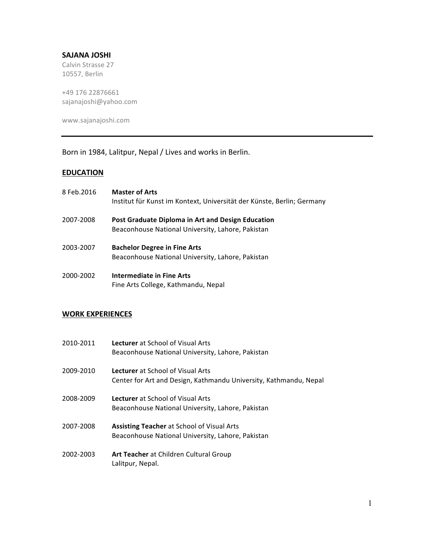### **SAJANA%JOSHI%**

Calvin Strasse 27 10557, Berlin

+49 176 22876661 sajanajoshi@yahoo.com

www.sajanajoshi.com

# Born in 1984, Lalitpur, Nepal / Lives and works in Berlin.

## **EDUCATION**

| 8 Feb.2016 | <b>Master of Arts</b><br>Institut für Kunst im Kontext, Universität der Künste, Berlin; Germany        |
|------------|--------------------------------------------------------------------------------------------------------|
| 2007-2008  | Post Graduate Diploma in Art and Design Education<br>Beaconhouse National University, Lahore, Pakistan |
| 2003-2007  | <b>Bachelor Degree in Fine Arts</b><br>Beaconhouse National University, Lahore, Pakistan               |
| 2000-2002  | Intermediate in Fine Arts<br>Fine Arts College, Kathmandu, Nepal                                       |

#### **WORK EXPERIENCES**

| 2010-2011 | <b>Lecturer</b> at School of Visual Arts<br>Beaconhouse National University, Lahore, Pakistan          |
|-----------|--------------------------------------------------------------------------------------------------------|
| 2009-2010 | Lecturer at School of Visual Arts<br>Center for Art and Design, Kathmandu University, Kathmandu, Nepal |
| 2008-2009 | <b>Lecturer</b> at School of Visual Arts<br>Beaconhouse National University, Lahore, Pakistan          |
| 2007-2008 | <b>Assisting Teacher at School of Visual Arts</b><br>Beaconhouse National University, Lahore, Pakistan |
| 2002-2003 | Art Teacher at Children Cultural Group<br>Lalitpur, Nepal.                                             |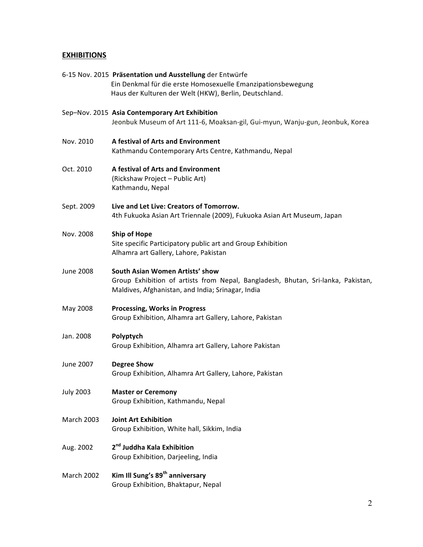# **EXHIBITIONS**

|                   | 6-15 Nov. 2015 Präsentation und Ausstellung der Entwürfe<br>Ein Denkmal für die erste Homosexuelle Emanzipationsbewegung<br>Haus der Kulturen der Welt (HKW), Berlin, Deutschland. |
|-------------------|------------------------------------------------------------------------------------------------------------------------------------------------------------------------------------|
|                   | Sep-Nov. 2015 Asia Contemporary Art Exhibition<br>Jeonbuk Museum of Art 111-6, Moaksan-gil, Gui-myun, Wanju-gun, Jeonbuk, Korea                                                    |
| Nov. 2010         | A festival of Arts and Environment<br>Kathmandu Contemporary Arts Centre, Kathmandu, Nepal                                                                                         |
| Oct. 2010         | A festival of Arts and Environment<br>(Rickshaw Project - Public Art)<br>Kathmandu, Nepal                                                                                          |
| Sept. 2009        | Live and Let Live: Creators of Tomorrow.<br>4th Fukuoka Asian Art Triennale (2009), Fukuoka Asian Art Museum, Japan                                                                |
| Nov. 2008         | <b>Ship of Hope</b><br>Site specific Participatory public art and Group Exhibition<br>Alhamra art Gallery, Lahore, Pakistan                                                        |
| <b>June 2008</b>  | South Asian Women Artists' show<br>Group Exhibition of artists from Nepal, Bangladesh, Bhutan, Sri-lanka, Pakistan,<br>Maldives, Afghanistan, and India; Srinagar, India           |
| May 2008          | <b>Processing, Works in Progress</b><br>Group Exhibition, Alhamra art Gallery, Lahore, Pakistan                                                                                    |
| Jan. 2008         | Polyptych<br>Group Exhibition, Alhamra art Gallery, Lahore Pakistan                                                                                                                |
| June 2007         | <b>Degree Show</b><br>Group Exhibition, Alhamra Art Gallery, Lahore, Pakistan                                                                                                      |
| <b>July 2003</b>  | <b>Master or Ceremony</b><br>Group Exhibition, Kathmandu, Nepal                                                                                                                    |
| <b>March 2003</b> | <b>Joint Art Exhibition</b><br>Group Exhibition, White hall, Sikkim, India                                                                                                         |
| Aug. 2002         | 2 <sup>nd</sup> Juddha Kala Exhibition<br>Group Exhibition, Darjeeling, India                                                                                                      |
| March 2002        | Kim Ill Sung's 89 <sup>th</sup> anniversary<br>Group Exhibition, Bhaktapur, Nepal                                                                                                  |